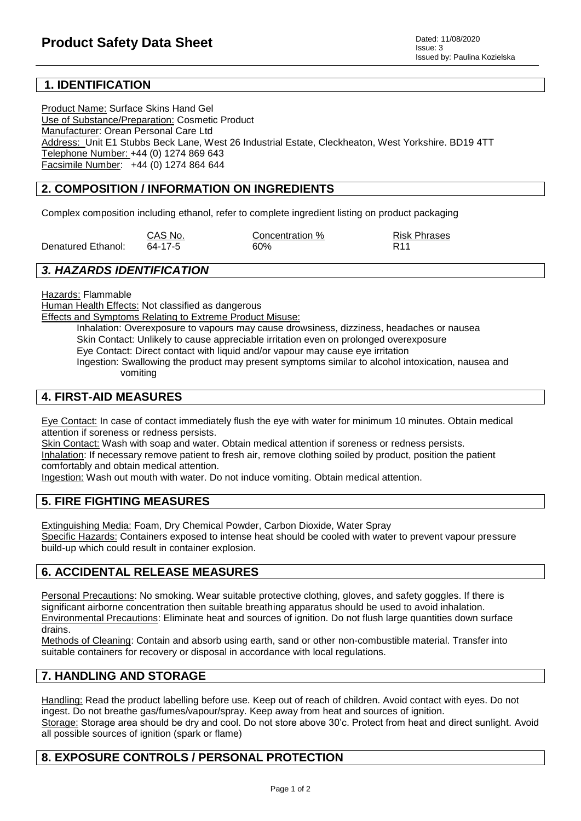# **1. IDENTIFICATION**

Product Name: Surface Skins Hand Gel Use of Substance/Preparation: Cosmetic Product Manufacturer: Orean Personal Care Ltd Address: Unit E1 Stubbs Beck Lane, West 26 Industrial Estate, Cleckheaton, West Yorkshire. BD19 4TT Telephone Number: +44 (0) 1274 869 643 Facsimile Number: +44 (0) 1274 864 644

## **2. COMPOSITION / INFORMATION ON INGREDIENTS**

Complex composition including ethanol, refer to complete ingredient listing on product packaging

|                    | CAS No. | Concentration % | <b>Risk Phrases</b> |
|--------------------|---------|-----------------|---------------------|
| Denatured Ethanol: | 64-17-5 | 60%             | R <sub>11</sub>     |

#### *3. HAZARDS IDENTIFICATION*

Hazards: Flammable

Human Health Effects: Not classified as dangerous

Effects and Symptoms Relating to Extreme Product Misuse:

Inhalation: Overexposure to vapours may cause drowsiness, dizziness, headaches or nausea Skin Contact: Unlikely to cause appreciable irritation even on prolonged overexposure

Eye Contact: Direct contact with liquid and/or vapour may cause eye irritation

Ingestion: Swallowing the product may present symptoms similar to alcohol intoxication, nausea and vomiting

## **4. FIRST-AID MEASURES**

Eye Contact: In case of contact immediately flush the eye with water for minimum 10 minutes. Obtain medical attention if soreness or redness persists.

Skin Contact: Wash with soap and water. Obtain medical attention if soreness or redness persists. Inhalation: If necessary remove patient to fresh air, remove clothing soiled by product, position the patient comfortably and obtain medical attention.

Ingestion: Wash out mouth with water. Do not induce vomiting. Obtain medical attention.

## **5. FIRE FIGHTING MEASURES**

Extinguishing Media: Foam, Dry Chemical Powder, Carbon Dioxide, Water Spray Specific Hazards: Containers exposed to intense heat should be cooled with water to prevent vapour pressure build-up which could result in container explosion.

# **6. ACCIDENTAL RELEASE MEASURES**

Personal Precautions: No smoking. Wear suitable protective clothing, gloves, and safety goggles. If there is significant airborne concentration then suitable breathing apparatus should be used to avoid inhalation. Environmental Precautions: Eliminate heat and sources of ignition. Do not flush large quantities down surface drains.

Methods of Cleaning: Contain and absorb using earth, sand or other non-combustible material. Transfer into suitable containers for recovery or disposal in accordance with local regulations.

## **7. HANDLING AND STORAGE**

Handling: Read the product labelling before use. Keep out of reach of children. Avoid contact with eyes. Do not ingest. Do not breathe gas/fumes/vapour/spray. Keep away from heat and sources of ignition. Storage: Storage area should be dry and cool. Do not store above 30'c. Protect from heat and direct sunlight. Avoid all possible sources of ignition (spark or flame)

# **8. EXPOSURE CONTROLS / PERSONAL PROTECTION**